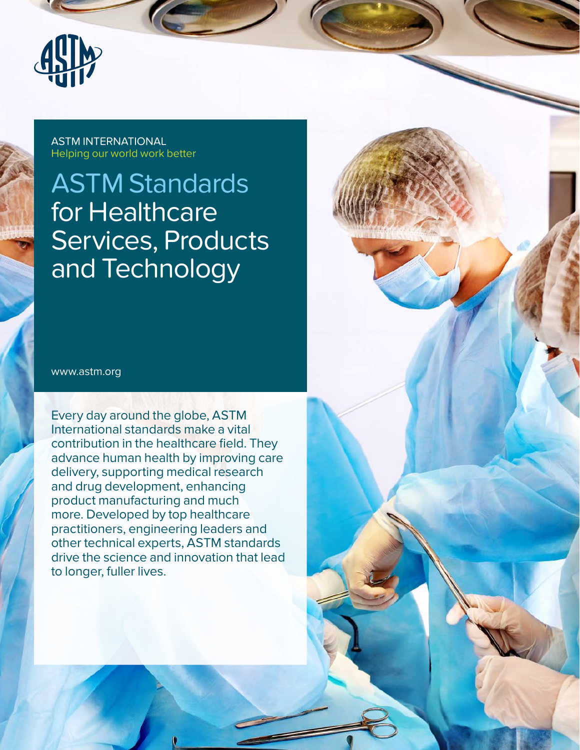

ASTM INTERNATIONAL Helping our world work better

# ASTM Standards for Healthcare Services, Products and Technology

www.astm.org

Every day around the globe, ASTM International standards make a vital contribution in the healthcare field. They advance human health by improving care delivery, supporting medical research and drug development, enhancing product manufacturing and much more. Developed by top healthcare practitioners, engineering leaders and other technical experts, ASTM standards drive the science and innovation that lead to longer, fuller lives.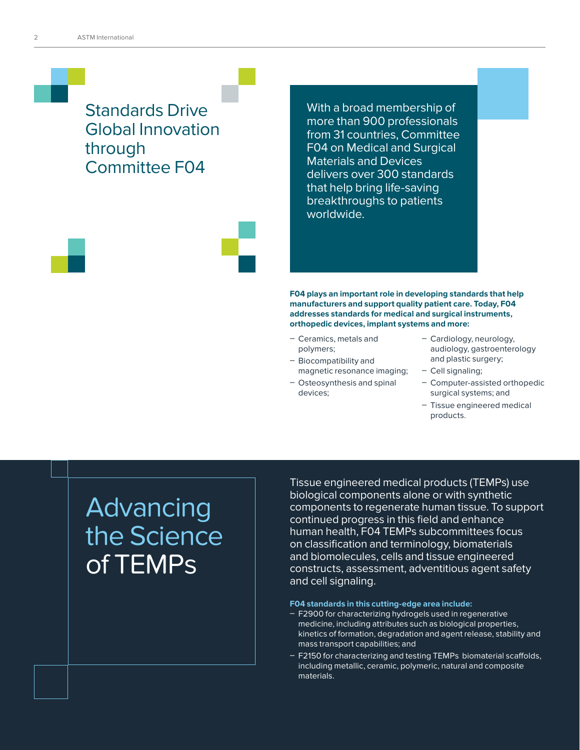### Standards Drive Global Innovation through Committee F04

With a broad membership of more than 900 professionals from 31 countries, Committee F04 on Medical and Surgical Materials and Devices delivers over 300 standards that help bring life-saving breakthroughs to patients worldwide.

**F04 plays an important role in developing standards that help manufacturers and support quality patient care. Today, F04 addresses standards for medical and surgical instruments, orthopedic devices, implant systems and more:** 

- Ceramics, metals and polymers;
- Biocompatibility and magnetic resonance imaging;
- Osteosynthesis and spinal devices;
- Cardiology, neurology, audiology, gastroenterology and plastic surgery;
- Cell signaling;
- Computer-assisted orthopedic surgical systems; and
- Tissue engineered medical products.

# **Advancing** the Science of TEMPs

Tissue engineered medical products (TEMPs) use biological components alone or with synthetic components to regenerate human tissue. To support continued progress in this field and enhance human health, F04 TEMPs subcommittees focus on classification and terminology, biomaterials and biomolecules, cells and tissue engineered constructs, assessment, adventitious agent safety and cell signaling.

#### **F04 standards in this cutting-edge area include:**

- F2900 for characterizing hydrogels used in regenerative medicine, including attributes such as biological properties, kinetics of formation, degradation and agent release, stability and mass transport capabilities; and
- F2150 for characterizing and testing TEMPs biomaterial scaffolds, including metallic, ceramic, polymeric, natural and composite materials.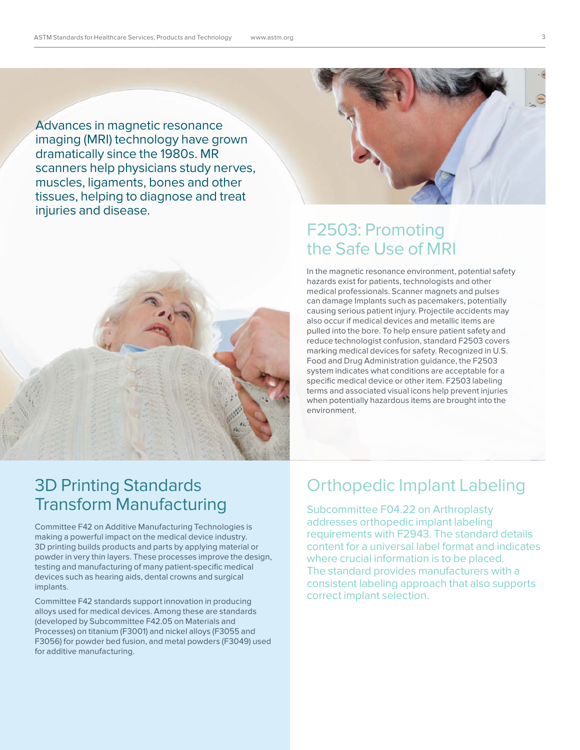Advances in magnetic resonance imaging (MRI) technology have grown dramatically since the 1980s. MR scanners help physicians study nerves, muscles, ligaments, bones and other tissues, helping to diagnose and treat injuries and disease.



## F2503: Promoting the Safe Use of MRI

In the magnetic resonance environment, potential safety hazards exist for patients, technologists and other medical professionals. Scanner magnets and pulses can damage Implants such as pacemakers, potentially causing serious patient injury. Projectile accidents may also occur if medical devices and metallic items are pulled into the bore. To help ensure patient safety and reduce technologist confusion, standard F2503 covers marking medical devices for safety. Recognized in U.S. Food and Drug Administration guidance, the F2503 system indicates what conditions are acceptable for a specific medical device or other item. F2503 labeling terms and associated visual icons help prevent injuries when potentially hazardous items are brought into the environment.

## 3D Printing Standards Transform Manufacturing

Committee F42 on Additive Manufacturing Technologies is making a powerful impact on the medical device industry. 3D printing builds products and parts by applying material or powder in very thin layers. These processes improve the design, testing and manufacturing of many patient-specific medical devices such as hearing aids, dental crowns and surgical implants.

Committee F42 standards support innovation in producing alloys used for medical devices. Among these are standards (developed by Subcommittee F42.05 on Materials and Processes) on titanium (F3001) and nickel alloys (F3055 and F3056) for powder bed fusion, and metal powders (F3049) used for additive manufacturing.

### Orthopedic Implant Labeling

Subcommittee F04.22 on Arthroplasty addresses orthopedic implant labeling requirements with F2943. The standard details content for a universal label format and indicates where crucial information is to be placed. The standard provides manufacturers with a consistent labeling approach that also supports correct implant selection.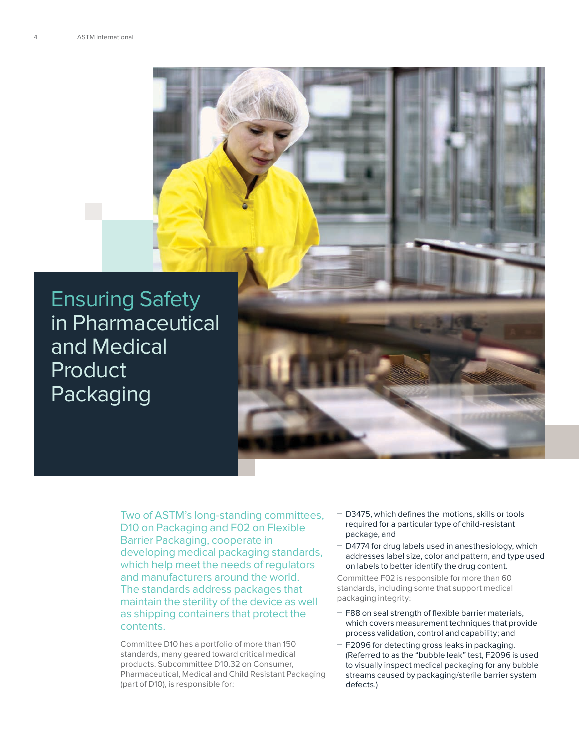Ensuring Safety in Pharmaceutical and Medical **Product** Packaging

Two of ASTM's long-standing committees, D10 on Packaging and F02 on Flexible Barrier Packaging, cooperate in developing medical packaging standards, which help meet the needs of regulators and manufacturers around the world. The standards address packages that maintain the sterility of the device as well as shipping containers that protect the contents.

Committee D10 has a portfolio of more than 150 standards, many geared toward critical medical products. Subcommittee D10.32 on Consumer, Pharmaceutical, Medical and Child Resistant Packaging (part of D10), is responsible for:

- D3475, which defines the motions, skills or tools required for a particular type of child-resistant package, and
- D4774 for drug labels used in anesthesiology, which addresses label size, color and pattern, and type used on labels to better identify the drug content.

Committee F02 is responsible for more than 60 standards, including some that support medical packaging integrity:

- F88 on seal strength of flexible barrier materials, which covers measurement techniques that provide process validation, control and capability; and
- F2096 for detecting gross leaks in packaging. (Referred to as the "bubble leak" test, F2096 is used to visually inspect medical packaging for any bubble streams caused by packaging/sterile barrier system defects.)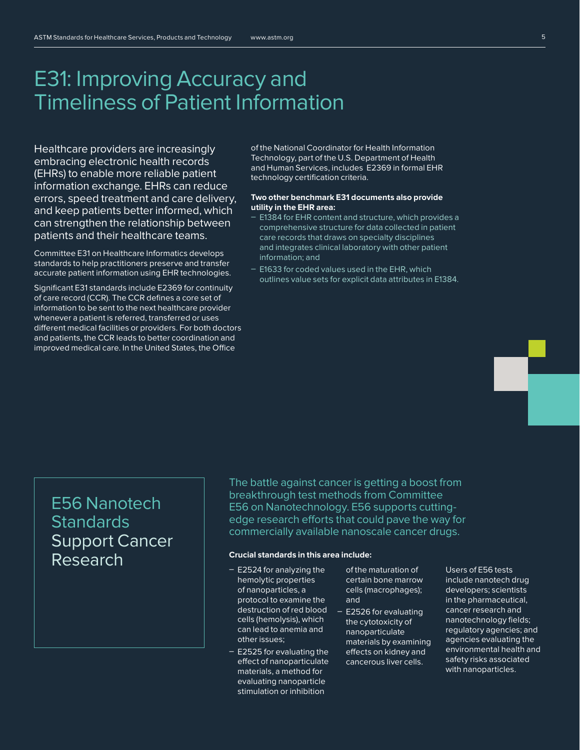## E31: Improving Accuracy and Timeliness of Patient Information

Healthcare providers are increasingly embracing electronic health records (EHRs) to enable more reliable patient information exchange. EHRs can reduce errors, speed treatment and care delivery, and keep patients better informed, which can strengthen the relationship between patients and their healthcare teams.

Committee E31 on Healthcare Informatics develops standards to help practitioners preserve and transfer accurate patient information using EHR technologies.

Significant E31 standards include E2369 for continuity of care record (CCR). The CCR defines a core set of information to be sent to the next healthcare provider whenever a patient is referred, transferred or uses different medical facilities or providers. For both doctors and patients, the CCR leads to better coordination and improved medical care. In the United States, the Office

of the National Coordinator for Health Information Technology, part of the U.S. Department of Health and Human Services, includes E2369 in formal EHR technology certification criteria.

#### **Two other benchmark E31 documents also provide utility in the EHR area:**

- E1384 for EHR content and structure, which provides a comprehensive structure for data collected in patient care records that draws on specialty disciplines and integrates clinical laboratory with other patient information; and
- E1633 for coded values used in the EHR, which outlines value sets for explicit data attributes in E1384.

## E56 Nanotech **Standards** Support Cancer Research

The battle against cancer is getting a boost from breakthrough test methods from Committee E56 on Nanotechnology. E56 supports cuttingedge research efforts that could pave the way for commercially available nanoscale cancer drugs.

#### **Crucial standards in this area include:**

- $-$  E2524 for analyzing the hemolytic properties of nanoparticles, a protocol to examine the destruction of red blood cells (hemolysis), which can lead to anemia and other issues;
- $-$  E2525 for evaluating the effect of nanoparticulate materials, a method for evaluating nanoparticle stimulation or inhibition

of the maturation of certain bone marrow cells (macrophages); and

 $-$  E2526 for evaluating the cytotoxicity of nanoparticulate materials by examining effects on kidney and cancerous liver cells.

Users of E56 tests include nanotech drug developers; scientists in the pharmaceutical, cancer research and nanotechnology fields; regulatory agencies; and agencies evaluating the environmental health and safety risks associated with nanoparticles.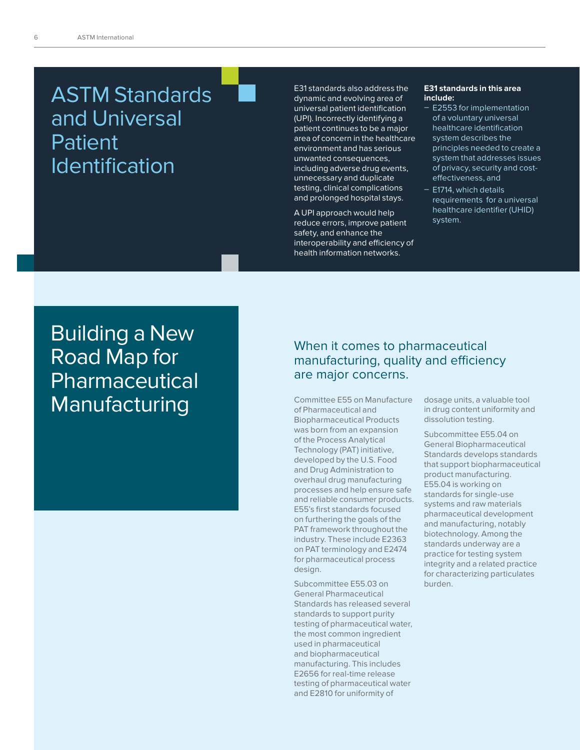## ASTM Standards and Universal Patient Identification

E31 standards also address the dynamic and evolving area of universal patient identification (UPI). Incorrectly identifying a patient continues to be a major area of concern in the healthcare environment and has serious unwanted consequences, including adverse drug events, unnecessary and duplicate testing, clinical complications and prolonged hospital stays.

A UPI approach would help reduce errors, improve patient safety, and enhance the interoperability and efficiency of health information networks.

#### **E31 standards in this area include:**

- E2553 for implementation of a voluntary universal healthcare identification system describes the principles needed to create a system that addresses issues of privacy, security and costeffectiveness, and
- E1714, which details requirements for a universal healthcare identifier (UHID) system.

**Building a New** Road Map for Pharmaceutical Manufacturing

#### When it comes to pharmaceutical manufacturing, quality and efficiency are major concerns.

Committee E55 on Manufacture of Pharmaceutical and Biopharmaceutical Products was born from an expansion of the Process Analytical Technology (PAT) initiative, developed by the U.S. Food and Drug Administration to overhaul drug manufacturing processes and help ensure safe and reliable consumer products. E55's first standards focused on furthering the goals of the PAT framework throughout the industry. These include E2363 on PAT terminology and E2474 for pharmaceutical process design.

Subcommittee E55.03 on General Pharmaceutical Standards has released several standards to support purity testing of pharmaceutical water, the most common ingredient used in pharmaceutical and biopharmaceutical manufacturing. This includes E2656 for real-time release testing of pharmaceutical water and E2810 for uniformity of

dosage units, a valuable tool in drug content uniformity and dissolution testing.

Subcommittee E55.04 on General Biopharmaceutical Standards develops standards that support biopharmaceutical product manufacturing. E55.04 is working on standards for single-use systems and raw materials pharmaceutical development and manufacturing, notably biotechnology. Among the standards underway are a practice for testing system integrity and a related practice for characterizing particulates burden.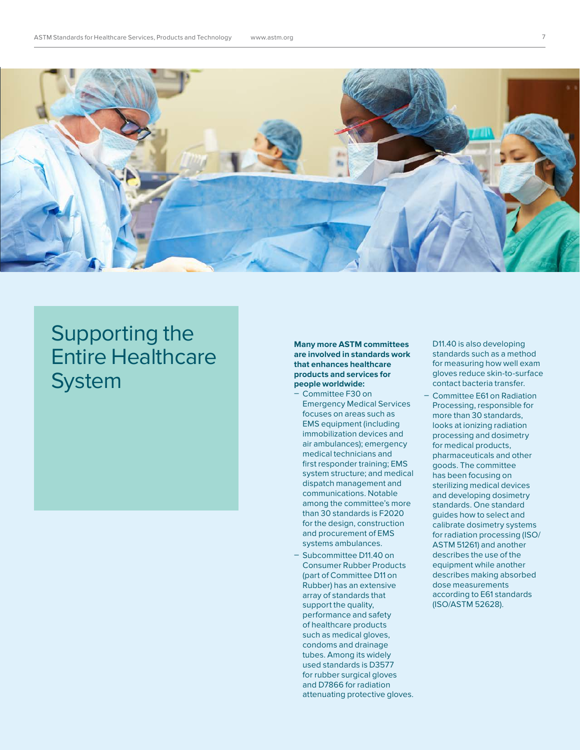

## Supporting the Entire Healthcare **System**

#### **Many more ASTM committees are involved in standards work that enhances healthcare products and services for people worldwide:**

- Committee F30 on Emergency Medical Services focuses on areas such as EMS equipment (including immobilization devices and air ambulances); emergency medical technicians and first responder training; EMS system structure; and medical dispatch management and communications. Notable among the committee's more than 30 standards is F2020 for the design, construction and procurement of EMS systems ambulances.
- Subcommittee D11.40 on Consumer Rubber Products (part of Committee D11 on Rubber) has an extensive array of standards that support the quality, performance and safety of healthcare products such as medical gloves, condoms and drainage tubes. Among its widely used standards is D3577 for rubber surgical gloves and D7866 for radiation attenuating protective gloves.

D11.40 is also developing standards such as a method for measuring how well exam gloves reduce skin-to-surface contact bacteria transfer.

Committee E61 on Radiation Processing, responsible for more than 30 standards, looks at ionizing radiation processing and dosimetry for medical products, pharmaceuticals and other goods. The committee has been focusing on sterilizing medical devices and developing dosimetry standards. One standard guides how to select and calibrate dosimetry systems for radiation processing (ISO/ ASTM 51261) and another describes the use of the equipment while another describes making absorbed dose measurements according to E61 standards (ISO/ASTM 52628).